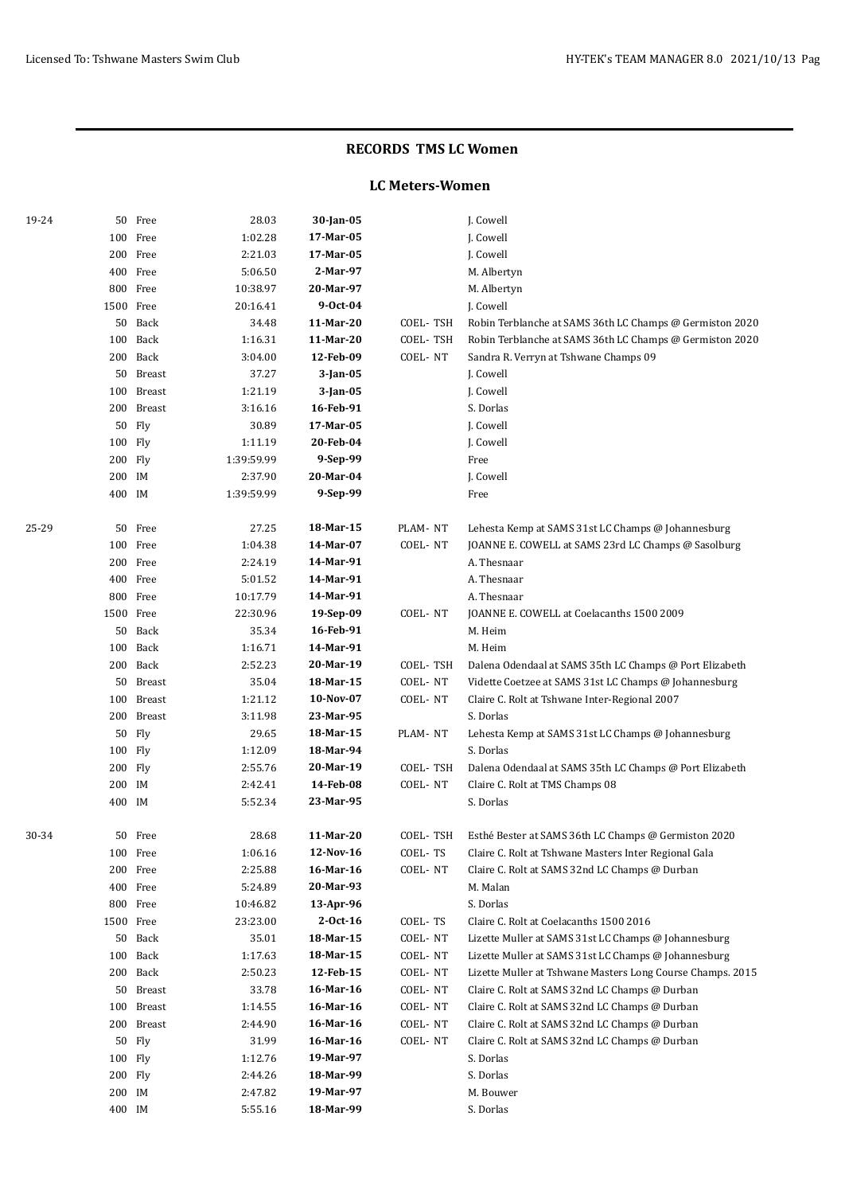#### **LC Meters-Women**

| 19-24 |           | 50 Free    | 28.03      | 30-Jan-05   |          | J. Cowell                                                  |
|-------|-----------|------------|------------|-------------|----------|------------------------------------------------------------|
|       | 100       | Free       | 1:02.28    | 17-Mar-05   |          | J. Cowell                                                  |
|       | 200       | Free       | 2:21.03    | 17-Mar-05   |          | J. Cowell                                                  |
|       |           | 400 Free   | 5:06.50    | 2-Mar-97    |          | M. Albertyn                                                |
|       |           | 800 Free   | 10:38.97   | 20-Mar-97   |          | M. Albertyn                                                |
|       | 1500 Free |            | 20:16.41   | 9-Oct-04    |          | J. Cowell                                                  |
|       |           | 50 Back    | 34.48      | 11-Mar-20   | COEL-TSH | Robin Terblanche at SAMS 36th LC Champs @ Germiston 2020   |
|       | 100       | Back       | 1:16.31    | 11-Mar-20   | COEL-TSH | Robin Terblanche at SAMS 36th LC Champs @ Germiston 2020   |
|       | 200       | Back       | 3:04.00    | 12-Feb-09   | COEL-NT  | Sandra R. Verryn at Tshwane Champs 09                      |
|       |           | 50 Breast  | 37.27      | 3-Jan-05    |          | J. Cowell                                                  |
|       | 100       | Breast     | 1:21.19    | $3$ -Jan-05 |          | J. Cowell                                                  |
|       | 200       | Breast     | 3:16.16    | 16-Feb-91   |          | S. Dorlas                                                  |
|       | 50        | Fly        | 30.89      | 17-Mar-05   |          | J. Cowell                                                  |
|       | 100 Fly   |            | 1:11.19    | 20-Feb-04   |          | J. Cowell                                                  |
|       | 200 Fly   |            | 1:39:59.99 | 9-Sep-99    |          | Free                                                       |
|       | 200 IM    |            | 2:37.90    | 20-Mar-04   |          | J. Cowell                                                  |
|       | 400 IM    |            | 1:39:59.99 | 9-Sep-99    |          | Free                                                       |
| 25-29 | 50        | Free       | 27.25      | 18-Mar-15   | PLAM-NT  | Lehesta Kemp at SAMS 31st LC Champs @ Johannesburg         |
|       |           | 100 Free   | 1:04.38    | 14-Mar-07   | COEL-NT  | JOANNE E. COWELL at SAMS 23rd LC Champs @ Sasolburg        |
|       |           | 200 Free   | 2:24.19    | 14-Mar-91   |          | A. Thesnaar                                                |
|       |           | 400 Free   | 5:01.52    | 14-Mar-91   |          | A. Thesnaar                                                |
|       |           | 800 Free   | 10:17.79   | 14-Mar-91   |          | A. Thesnaar                                                |
|       | 1500 Free |            | 22:30.96   | 19-Sep-09   | COEL-NT  | JOANNE E. COWELL at Coelacanths 1500 2009                  |
|       |           | 50 Back    | 35.34      | 16-Feb-91   |          | M. Heim                                                    |
|       |           | 100 Back   | 1:16.71    | 14-Mar-91   |          | M. Heim                                                    |
|       |           | 200 Back   | 2:52.23    | 20-Mar-19   | COEL-TSH | Dalena Odendaal at SAMS 35th LC Champs @ Port Elizabeth    |
|       | 50        | Breast     | 35.04      | 18-Mar-15   | COEL-NT  | Vidette Coetzee at SAMS 31st LC Champs @ Johannesburg      |
|       | 100       | Breast     | 1:21.12    | 10-Nov-07   | COEL-NT  | Claire C. Rolt at Tshwane Inter-Regional 2007              |
|       | 200       | Breast     | 3:11.98    | 23-Mar-95   |          | S. Dorlas                                                  |
|       | 50        | Fly        | 29.65      | 18-Mar-15   | PLAM-NT  | Lehesta Kemp at SAMS 31st LC Champs @ Johannesburg         |
|       | 100 Fly   |            | 1:12.09    | 18-Mar-94   |          | S. Dorlas                                                  |
|       | 200 Fly   |            | 2:55.76    | 20-Mar-19   | COEL-TSH | Dalena Odendaal at SAMS 35th LC Champs @ Port Elizabeth    |
|       | 200 IM    |            | 2:42.41    | 14-Feb-08   | COEL-NT  | Claire C. Rolt at TMS Champs 08                            |
|       | 400 IM    |            | 5:52.34    | 23-Mar-95   |          | S. Dorlas                                                  |
| 30-34 |           | 50 Free    | 28.68      | 11-Mar-20   | COEL-TSH | Esthé Bester at SAMS 36th LC Champs @ Germiston 2020       |
|       |           | 100 Free   | 1:06.16    | 12-Nov-16   | COEL-TS  | Claire C. Rolt at Tshwane Masters Inter Regional Gala      |
|       |           | 200 Free   | 2:25.88    | 16-Mar-16   | COEL-NT  | Claire C. Rolt at SAMS 32nd LC Champs @ Durban             |
|       |           | 400 Free   | 5:24.89    | 20-Mar-93   |          | M. Malan                                                   |
|       |           | 800 Free   | 10:46.82   | 13-Apr-96   |          | S. Dorlas                                                  |
|       | 1500 Free |            | 23:23.00   | 2-Oct-16    | COEL-TS  | Claire C. Rolt at Coelacanths 1500 2016                    |
|       |           | 50 Back    | 35.01      | 18-Mar-15   | COEL-NT  | Lizette Muller at SAMS 31st LC Champs @ Johannesburg       |
|       |           | 100 Back   | 1:17.63    | 18-Mar-15   | COEL-NT  | Lizette Muller at SAMS 31st LC Champs @ Johannesburg       |
|       |           | 200 Back   | 2:50.23    | 12-Feb-15   | COEL-NT  | Lizette Muller at Tshwane Masters Long Course Champs. 2015 |
|       |           | 50 Breast  | 33.78      | 16-Mar-16   | COEL-NT  | Claire C. Rolt at SAMS 32nd LC Champs @ Durban             |
|       |           | 100 Breast | 1:14.55    | 16-Mar-16   | COEL-NT  | Claire C. Rolt at SAMS 32nd LC Champs @ Durban             |
|       |           | 200 Breast | 2:44.90    | 16-Mar-16   | COEL-NT  | Claire C. Rolt at SAMS 32nd LC Champs @ Durban             |
|       | 50        | Fly        | 31.99      | 16-Mar-16   | COEL-NT  | Claire C. Rolt at SAMS 32nd LC Champs @ Durban             |
|       | 100 Fly   |            | 1:12.76    | 19-Mar-97   |          | S. Dorlas                                                  |
|       | 200 Fly   |            | 2:44.26    | 18-Mar-99   |          | S. Dorlas                                                  |
|       | 200 IM    |            | 2:47.82    | 19-Mar-97   |          | M. Bouwer                                                  |
|       | 400 IM    |            | 5:55.16    | 18-Mar-99   |          | S. Dorlas                                                  |
|       |           |            |            |             |          |                                                            |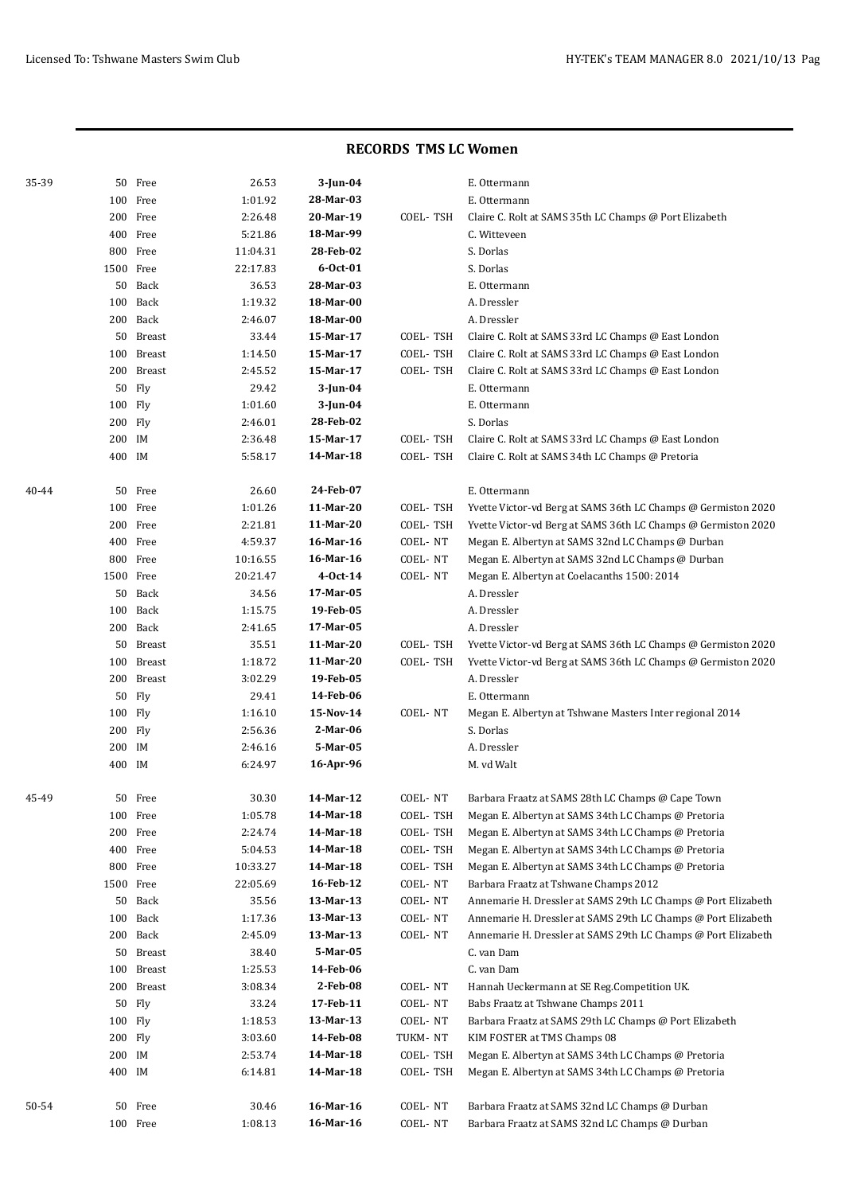| 35-39 |           | 50 Free       | 26.53    | $3$ -Jun-04    |          | E. Ottermann                                                  |
|-------|-----------|---------------|----------|----------------|----------|---------------------------------------------------------------|
|       |           | 100 Free      | 1:01.92  | 28-Mar-03      |          | E. Ottermann                                                  |
|       |           | 200 Free      | 2:26.48  | 20-Mar-19      | COEL-TSH | Claire C. Rolt at SAMS 35th LC Champs @ Port Elizabeth        |
|       |           | 400 Free      | 5:21.86  | 18-Mar-99      |          | C. Witteveen                                                  |
|       |           | 800 Free      | 11:04.31 | 28-Feb-02      |          | S. Dorlas                                                     |
|       | 1500 Free |               | 22:17.83 | $6 - Oct - 01$ |          | S. Dorlas                                                     |
|       |           | 50 Back       | 36.53    | 28-Mar-03      |          | E. Ottermann                                                  |
|       |           | 100 Back      | 1:19.32  | 18-Mar-00      |          | A. Dressler                                                   |
|       |           | 200 Back      | 2:46.07  | 18-Mar-00      |          | A. Dressler                                                   |
|       |           | 50 Breast     | 33.44    | 15-Mar-17      | COEL-TSH | Claire C. Rolt at SAMS 33rd LC Champs @ East London           |
|       |           | 100 Breast    | 1:14.50  | 15-Mar-17      | COEL-TSH | Claire C. Rolt at SAMS 33rd LC Champs @ East London           |
|       |           | 200 Breast    | 2:45.52  | 15-Mar-17      | COEL-TSH | Claire C. Rolt at SAMS 33rd LC Champs @ East London           |
|       |           | 50 Fly        | 29.42    | 3-Jun-04       |          | E. Ottermann                                                  |
|       | 100 Fly   |               | 1:01.60  | 3-Jun-04       |          | E. Ottermann                                                  |
|       | 200 Fly   |               | 2:46.01  | 28-Feb-02      |          | S. Dorlas                                                     |
|       | 200 IM    |               | 2:36.48  | 15-Mar-17      | COEL-TSH | Claire C. Rolt at SAMS 33rd LC Champs @ East London           |
|       | 400 IM    |               | 5:58.17  | 14-Mar-18      | COEL-TSH | Claire C. Rolt at SAMS 34th LC Champs @ Pretoria              |
|       |           |               |          |                |          |                                                               |
| 40-44 |           | 50 Free       | 26.60    | 24-Feb-07      |          | E. Ottermann                                                  |
|       |           | 100 Free      | 1:01.26  | 11-Mar-20      | COEL-TSH | Yvette Victor-vd Berg at SAMS 36th LC Champs @ Germiston 2020 |
|       |           | 200 Free      | 2:21.81  | 11-Mar-20      | COEL-TSH | Yvette Victor-vd Berg at SAMS 36th LC Champs @ Germiston 2020 |
|       |           | 400 Free      | 4:59.37  | 16-Mar-16      | COEL-NT  | Megan E. Albertyn at SAMS 32nd LC Champs @ Durban             |
|       |           | 800 Free      | 10:16.55 | 16-Mar-16      | COEL-NT  | Megan E. Albertyn at SAMS 32nd LC Champs @ Durban             |
|       | 1500 Free |               | 20:21.47 | $4-0ct-14$     | COEL-NT  | Megan E. Albertyn at Coelacanths 1500: 2014                   |
|       | 50        | Back          | 34.56    | 17-Mar-05      |          | A. Dressler                                                   |
|       | 100       | Back          | 1:15.75  | 19-Feb-05      |          | A. Dressler                                                   |
|       |           | 200 Back      | 2:41.65  | 17-Mar-05      |          | A. Dressler                                                   |
|       |           | 50 Breast     | 35.51    | 11-Mar-20      | COEL-TSH | Yvette Victor-vd Berg at SAMS 36th LC Champs @ Germiston 2020 |
|       | 100       | Breast        | 1:18.72  | 11-Mar-20      | COEL-TSH | Yvette Victor-vd Berg at SAMS 36th LC Champs @ Germiston 2020 |
|       | 200       | <b>Breast</b> | 3:02.29  | 19-Feb-05      |          | A. Dressler                                                   |
|       | 50        | Fly           | 29.41    | 14-Feb-06      |          | E. Ottermann                                                  |
|       | 100 Fly   |               | 1:16.10  | 15-Nov-14      | COEL-NT  | Megan E. Albertyn at Tshwane Masters Inter regional 2014      |
|       | 200 Fly   |               | 2:56.36  | 2-Mar-06       |          | S. Dorlas                                                     |
|       | 200       | IM            | 2:46.16  | 5-Mar-05       |          | A. Dressler                                                   |
|       | 400 IM    |               | 6:24.97  | 16-Apr-96      |          | M. vd Walt                                                    |
|       |           |               |          |                |          |                                                               |
| 45-49 |           | 50 Free       | 30.30    | 14-Mar-12      | COEL-NT  | Barbara Fraatz at SAMS 28th LC Champs @ Cape Town             |
|       |           | 100 Free      | 1:05.78  | 14-Mar-18      | COEL-TSH | Megan E. Albertyn at SAMS 34th LC Champs @ Pretoria           |
|       |           | 200 Free      | 2:24.74  | 14-Mar-18      | COEL-TSH | Megan E. Albertyn at SAMS 34th LC Champs @ Pretoria           |
|       |           | 400 Free      | 5:04.53  | 14-Mar-18      | COEL-TSH | Megan E. Albertyn at SAMS 34th LC Champs @ Pretoria           |
|       | 800       | Free          | 10:33.27 | 14-Mar-18      | COEL-TSH | Megan E. Albertyn at SAMS 34th LC Champs @ Pretoria           |
|       | 1500      | Free          | 22:05.69 | 16-Feb-12      | COEL-NT  | Barbara Fraatz at Tshwane Champs 2012                         |
|       |           | 50 Back       | 35.56    | 13-Mar-13      | COEL-NT  | Annemarie H. Dressler at SAMS 29th LC Champs @ Port Elizabeth |
|       | 100       | Back          | 1:17.36  | 13-Mar-13      | COEL-NT  | Annemarie H. Dressler at SAMS 29th LC Champs @ Port Elizabeth |
|       | 200       | Back          | 2:45.09  | 13-Mar-13      | COEL-NT  | Annemarie H. Dressler at SAMS 29th LC Champs @ Port Elizabeth |
|       |           | 50 Breast     | 38.40    | 5-Mar-05       |          | C. van Dam                                                    |
|       | 100       | Breast        | 1:25.53  | 14-Feb-06      |          | C. van Dam                                                    |
|       | 200       | Breast        | 3:08.34  | 2-Feb-08       | COEL-NT  | Hannah Ueckermann at SE Reg.Competition UK.                   |
|       |           | 50 Fly        | 33.24    | 17-Feb-11      | COEL-NT  | Babs Fraatz at Tshwane Champs 2011                            |
|       | 100 Fly   |               | 1:18.53  | 13-Mar-13      | COEL-NT  | Barbara Fraatz at SAMS 29th LC Champs @ Port Elizabeth        |
|       | 200 Fly   |               | 3:03.60  | 14-Feb-08      | TUKM-NT  | KIM FOSTER at TMS Champs 08                                   |
|       | 200 IM    |               | 2:53.74  | 14-Mar-18      | COEL-TSH | Megan E. Albertyn at SAMS 34th LC Champs @ Pretoria           |
|       | 400 IM    |               | 6:14.81  | 14-Mar-18      | COEL-TSH | Megan E. Albertyn at SAMS 34th LC Champs @ Pretoria           |
|       |           |               |          |                |          |                                                               |
| 50-54 |           | 50 Free       | 30.46    | 16-Mar-16      | COEL-NT  | Barbara Fraatz at SAMS 32nd LC Champs @ Durban                |
|       |           | 100 Free      | 1:08.13  | 16-Mar-16      | COEL-NT  | Barbara Fraatz at SAMS 32nd LC Champs @ Durban                |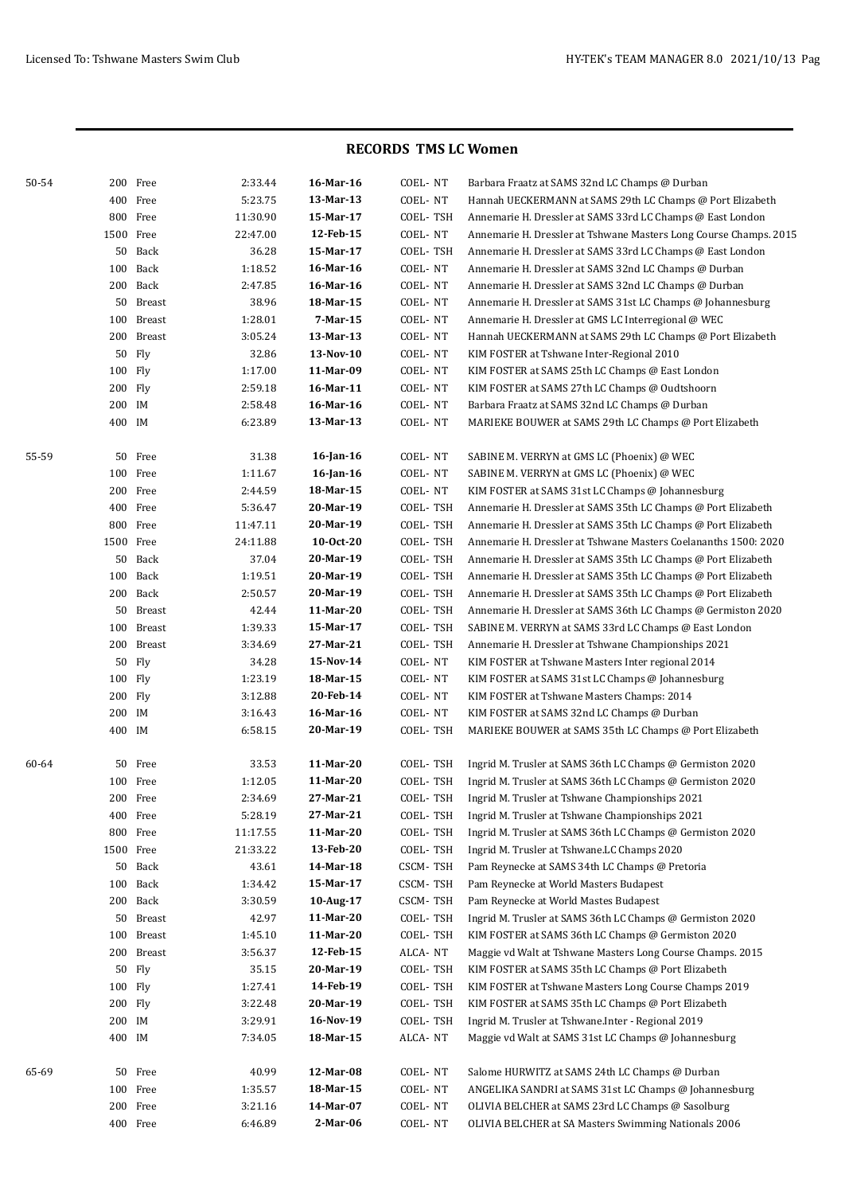| 50-54 |           | 200 Free      | 2:33.44  | 16-Mar-16    | COEL-NT  | Barbara Fraatz at SAMS 32nd LC Champs @ Durban                    |
|-------|-----------|---------------|----------|--------------|----------|-------------------------------------------------------------------|
|       |           | 400 Free      | 5:23.75  | 13-Mar-13    | COEL-NT  | Hannah UECKERMANN at SAMS 29th LC Champs @ Port Elizabeth         |
|       |           | 800 Free      | 11:30.90 | 15-Mar-17    | COEL-TSH | Annemarie H. Dressler at SAMS 33rd LC Champs @ East London        |
|       |           | 1500 Free     | 22:47.00 | 12-Feb-15    | COEL-NT  | Annemarie H. Dressler at Tshwane Masters Long Course Champs. 2015 |
|       | 50        | Back          | 36.28    | 15-Mar-17    | COEL-TSH | Annemarie H. Dressler at SAMS 33rd LC Champs @ East London        |
|       | 100       | Back          | 1:18.52  | 16-Mar-16    | COEL-NT  | Annemarie H. Dressler at SAMS 32nd LC Champs @ Durban             |
|       | 200       | Back          | 2:47.85  | 16-Mar-16    | COEL-NT  | Annemarie H. Dressler at SAMS 32nd LC Champs @ Durban             |
|       | 50        | Breast        | 38.96    | 18-Mar-15    | COEL-NT  | Annemarie H. Dressler at SAMS 31st LC Champs @ Johannesburg       |
|       | 100       | <b>Breast</b> | 1:28.01  | 7-Mar-15     | COEL-NT  | Annemarie H. Dressler at GMS LC Interregional @ WEC               |
|       | 200       | <b>Breast</b> | 3:05.24  | 13-Mar-13    | COEL-NT  | Hannah UECKERMANN at SAMS 29th LC Champs @ Port Elizabeth         |
|       | 50        | Fly           | 32.86    | 13-Nov-10    | COEL-NT  | KIM FOSTER at Tshwane Inter-Regional 2010                         |
|       | 100 Fly   |               | 1:17.00  | 11-Mar-09    | COEL-NT  | KIM FOSTER at SAMS 25th LC Champs @ East London                   |
|       | 200 Fly   |               | 2:59.18  | 16-Mar-11    | COEL-NT  | KIM FOSTER at SAMS 27th LC Champs @ Oudtshoorn                    |
|       | 200 IM    |               | 2:58.48  | 16-Mar-16    | COEL-NT  | Barbara Fraatz at SAMS 32nd LC Champs @ Durban                    |
|       | 400 IM    |               | 6:23.89  | 13-Mar-13    | COEL-NT  | MARIEKE BOUWER at SAMS 29th LC Champs @ Port Elizabeth            |
| 55-59 | 50        | Free          | 31.38    | $16$ -Jan-16 | COEL-NT  | SABINE M. VERRYN at GMS LC (Phoenix) @ WEC                        |
|       |           | 100 Free      | 1:11.67  | 16-Jan-16    | COEL-NT  | SABINE M. VERRYN at GMS LC (Phoenix) @ WEC                        |
|       |           | 200 Free      | 2:44.59  | 18-Mar-15    | COEL-NT  | KIM FOSTER at SAMS 31st LC Champs @ Johannesburg                  |
|       |           | 400 Free      | 5:36.47  | 20-Mar-19    | COEL-TSH | Annemarie H. Dressler at SAMS 35th LC Champs @ Port Elizabeth     |
|       |           | 800 Free      | 11:47.11 | 20-Mar-19    | COEL-TSH | Annemarie H. Dressler at SAMS 35th LC Champs @ Port Elizabeth     |
|       |           | 1500 Free     | 24:11.88 | 10-0ct-20    | COEL-TSH | Annemarie H. Dressler at Tshwane Masters Coelananths 1500: 2020   |
|       | 50        | Back          | 37.04    | 20-Mar-19    | COEL-TSH | Annemarie H. Dressler at SAMS 35th LC Champs @ Port Elizabeth     |
|       | 100       | Back          | 1:19.51  | 20-Mar-19    | COEL-TSH | Annemarie H. Dressler at SAMS 35th LC Champs @ Port Elizabeth     |
|       |           | 200 Back      | 2:50.57  | 20-Mar-19    | COEL-TSH | Annemarie H. Dressler at SAMS 35th LC Champs @ Port Elizabeth     |
|       | 50        | Breast        | 42.44    | 11-Mar-20    | COEL-TSH | Annemarie H. Dressler at SAMS 36th LC Champs @ Germiston 2020     |
|       | 100       | <b>Breast</b> | 1:39.33  | 15-Mar-17    | COEL-TSH | SABINE M. VERRYN at SAMS 33rd LC Champs @ East London             |
|       | 200       | <b>Breast</b> | 3:34.69  | 27-Mar-21    | COEL-TSH | Annemarie H. Dressler at Tshwane Championships 2021               |
|       | 50        | Fly           | 34.28    | 15-Nov-14    | COEL-NT  | KIM FOSTER at Tshwane Masters Inter regional 2014                 |
|       | 100 Fly   |               | 1:23.19  | 18-Mar-15    | COEL-NT  | KIM FOSTER at SAMS 31st LC Champs @ Johannesburg                  |
|       | 200 Fly   |               | 3:12.88  | 20-Feb-14    | COEL-NT  | KIM FOSTER at Tshwane Masters Champs: 2014                        |
|       | 200 IM    |               | 3:16.43  | 16-Mar-16    | COEL-NT  | KIM FOSTER at SAMS 32nd LC Champs @ Durban                        |
|       | 400 IM    |               | 6:58.15  | 20-Mar-19    | COEL-TSH | MARIEKE BOUWER at SAMS 35th LC Champs @ Port Elizabeth            |
| 60-64 |           | 50 Free       | 33.53    | 11-Mar-20    | COEL-TSH | Ingrid M. Trusler at SAMS 36th LC Champs @ Germiston 2020         |
|       |           | 100 Free      | 1:12.05  | 11-Mar-20    | COEL-TSH | Ingrid M. Trusler at SAMS 36th LC Champs @ Germiston 2020         |
|       |           | 200 Free      | 2:34.69  | 27-Mar-21    | COEL-TSH | Ingrid M. Trusler at Tshwane Championships 2021                   |
|       |           | 400 Free      | 5:28.19  | 27-Mar-21    | COEL-TSH | Ingrid M. Trusler at Tshwane Championships 2021                   |
|       |           | 800 Free      | 11:17.55 | 11-Mar-20    | COEL-TSH | Ingrid M. Trusler at SAMS 36th LC Champs @ Germiston 2020         |
|       | 1500 Free |               | 21:33.22 | 13-Feb-20    | COEL-TSH | Ingrid M. Trusler at Tshwane.LC Champs 2020                       |
|       |           | 50 Back       | 43.61    | 14-Mar-18    | CSCM-TSH | Pam Reynecke at SAMS 34th LC Champs @ Pretoria                    |
|       |           | 100 Back      | 1:34.42  | 15-Mar-17    | CSCM-TSH | Pam Reynecke at World Masters Budapest                            |
|       |           | 200 Back      | 3:30.59  | 10-Aug-17    | CSCM-TSH | Pam Reynecke at World Mastes Budapest                             |
|       |           | 50 Breast     | 42.97    | 11-Mar-20    | COEL-TSH | Ingrid M. Trusler at SAMS 36th LC Champs @ Germiston 2020         |
|       | 100       | Breast        | 1:45.10  | 11-Mar-20    | COEL-TSH | KIM FOSTER at SAMS 36th LC Champs @ Germiston 2020                |
|       |           | 200 Breast    | 3:56.37  | 12-Feb-15    | ALCA-NT  | Maggie vd Walt at Tshwane Masters Long Course Champs. 2015        |
|       |           | 50 Fly        | 35.15    | 20-Mar-19    | COEL-TSH | KIM FOSTER at SAMS 35th LC Champs @ Port Elizabeth                |
|       | 100 Fly   |               | 1:27.41  | 14-Feb-19    | COEL-TSH | KIM FOSTER at Tshwane Masters Long Course Champs 2019             |
|       | 200 Fly   |               | 3:22.48  | 20-Mar-19    | COEL-TSH | KIM FOSTER at SAMS 35th LC Champs @ Port Elizabeth                |
|       | 200 IM    |               | 3:29.91  | 16-Nov-19    | COEL-TSH | Ingrid M. Trusler at Tshwane.Inter - Regional 2019                |
|       | 400 IM    |               | 7:34.05  | 18-Mar-15    | ALCA-NT  | Maggie vd Walt at SAMS 31st LC Champs @ Johannesburg              |
| 65-69 |           | 50 Free       | 40.99    | 12-Mar-08    | COEL-NT  | Salome HURWITZ at SAMS 24th LC Champs @ Durban                    |
|       |           | 100 Free      | 1:35.57  | 18-Mar-15    | COEL-NT  | ANGELIKA SANDRI at SAMS 31st LC Champs @ Johannesburg             |
|       |           | 200 Free      | 3:21.16  | 14-Mar-07    | COEL-NT  | OLIVIA BELCHER at SAMS 23rd LC Champs @ Sasolburg                 |
|       |           | 400 Free      | 6:46.89  | 2-Mar-06     | COEL-NT  | OLIVIA BELCHER at SA Masters Swimming Nationals 2006              |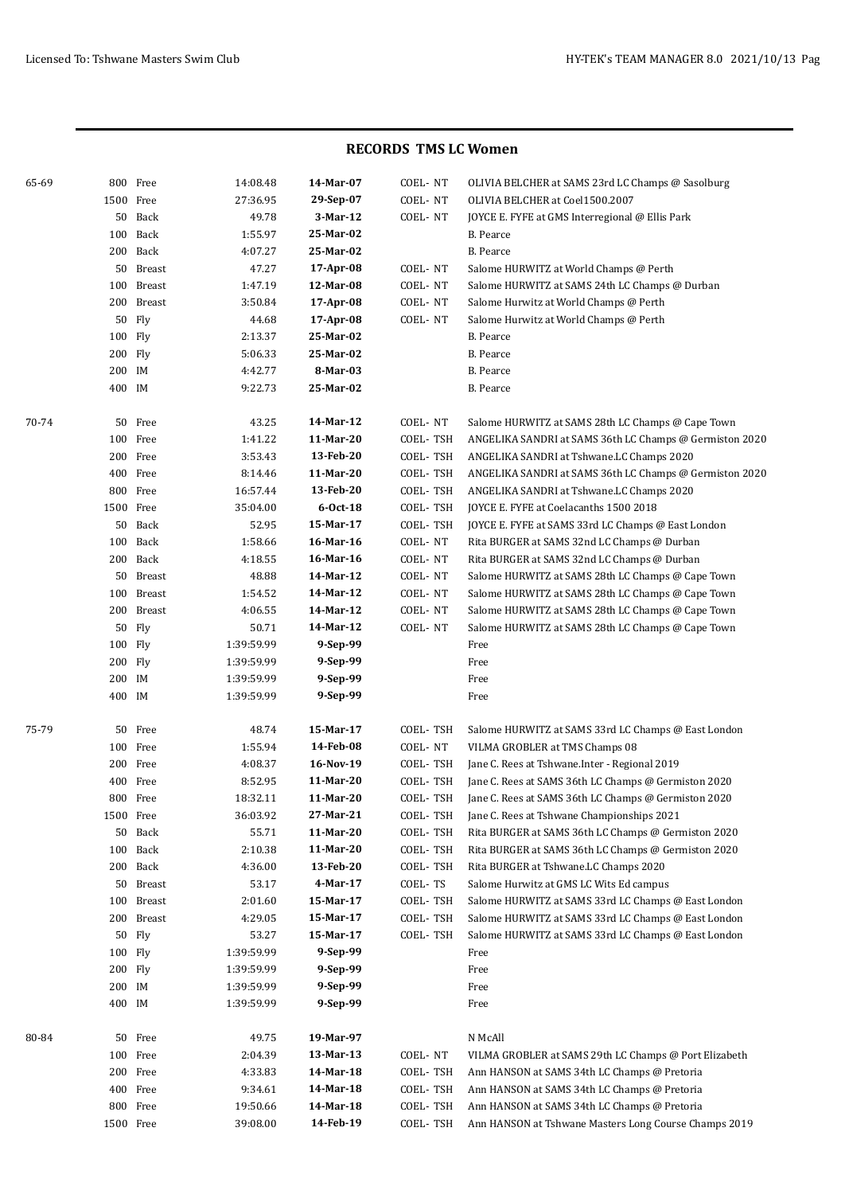| 65-69 |           | 800 Free   | 14:08.48   | 14-Mar-07  | COEL-NT  | OLIVIA BELCHER at SAMS 23rd LC Champs @ Sasolburg       |
|-------|-----------|------------|------------|------------|----------|---------------------------------------------------------|
|       | 1500 Free |            | 27:36.95   | 29-Sep-07  | COEL-NT  | OLIVIA BELCHER at Coel1500.2007                         |
|       |           | 50 Back    | 49.78      | 3-Mar-12   | COEL-NT  | JOYCE E. FYFE at GMS Interregional @ Ellis Park         |
|       |           | 100 Back   | 1:55.97    | 25-Mar-02  |          | B. Pearce                                               |
|       |           | 200 Back   | 4:07.27    | 25-Mar-02  |          | <b>B.</b> Pearce                                        |
|       |           | 50 Breast  | 47.27      | 17-Apr-08  | COEL-NT  | Salome HURWITZ at World Champs @ Perth                  |
|       |           | 100 Breast | 1:47.19    | 12-Mar-08  | COEL-NT  | Salome HURWITZ at SAMS 24th LC Champs @ Durban          |
|       |           | 200 Breast | 3:50.84    | 17-Apr-08  | COEL-NT  | Salome Hurwitz at World Champs @ Perth                  |
|       |           | 50 Fly     | 44.68      | 17-Apr-08  | COEL-NT  | Salome Hurwitz at World Champs @ Perth                  |
|       | 100 Fly   |            | 2:13.37    | 25-Mar-02  |          | B. Pearce                                               |
|       | 200 Fly   |            | 5:06.33    | 25-Mar-02  |          | B. Pearce                                               |
|       | 200 IM    |            | 4:42.77    | 8-Mar-03   |          | B. Pearce                                               |
|       | 400 IM    |            | 9:22.73    | 25-Mar-02  |          | B. Pearce                                               |
| 70-74 |           | 50 Free    | 43.25      | 14-Mar-12  | COEL-NT  | Salome HURWITZ at SAMS 28th LC Champs @ Cape Town       |
|       |           | 100 Free   | 1:41.22    | 11-Mar-20  | COEL-TSH | ANGELIKA SANDRI at SAMS 36th LC Champs @ Germiston 2020 |
|       |           | 200 Free   | 3:53.43    | 13-Feb-20  | COEL-TSH | ANGELIKA SANDRI at Tshwane.LC Champs 2020               |
|       |           | 400 Free   | 8:14.46    | 11-Mar-20  | COEL-TSH | ANGELIKA SANDRI at SAMS 36th LC Champs @ Germiston 2020 |
|       |           | 800 Free   | 16:57.44   | 13-Feb-20  | COEL-TSH | ANGELIKA SANDRI at Tshwane.LC Champs 2020               |
|       | 1500 Free |            | 35:04.00   | $6-0ct-18$ | COEL-TSH | JOYCE E. FYFE at Coelacanths 1500 2018                  |
|       |           | 50 Back    | 52.95      | 15-Mar-17  | COEL-TSH | JOYCE E. FYFE at SAMS 33rd LC Champs @ East London      |
|       |           | 100 Back   | 1:58.66    | 16-Mar-16  | COEL-NT  | Rita BURGER at SAMS 32nd LC Champs @ Durban             |
|       |           | 200 Back   | 4:18.55    | 16-Mar-16  | COEL-NT  | Rita BURGER at SAMS 32nd LC Champs @ Durban             |
|       |           | 50 Breast  | 48.88      | 14-Mar-12  | COEL-NT  | Salome HURWITZ at SAMS 28th LC Champs @ Cape Town       |
|       |           | 100 Breast | 1:54.52    | 14-Mar-12  | COEL-NT  | Salome HURWITZ at SAMS 28th LC Champs @ Cape Town       |
|       |           | 200 Breast | 4:06.55    | 14-Mar-12  | COEL-NT  | Salome HURWITZ at SAMS 28th LC Champs @ Cape Town       |
|       |           | 50 Fly     | 50.71      | 14-Mar-12  | COEL-NT  | Salome HURWITZ at SAMS 28th LC Champs @ Cape Town       |
|       | 100 Fly   |            | 1:39:59.99 | 9-Sep-99   |          | Free                                                    |
|       | 200 Fly   |            | 1:39:59.99 | 9-Sep-99   |          | Free                                                    |
|       | 200 IM    |            | 1:39:59.99 | 9-Sep-99   |          | Free                                                    |
|       | 400 IM    |            | 1:39:59.99 | 9-Sep-99   |          | Free                                                    |
|       |           |            |            |            |          |                                                         |
| 75-79 |           | 50 Free    | 48.74      | 15-Mar-17  | COEL-TSH | Salome HURWITZ at SAMS 33rd LC Champs @ East London     |
|       |           | 100 Free   | 1:55.94    | 14-Feb-08  | COEL-NT  | VILMA GROBLER at TMS Champs 08                          |
|       |           | 200 Free   | 4:08.37    | 16-Nov-19  | COEL-TSH | Jane C. Rees at Tshwane. Inter - Regional 2019          |
|       |           | 400 Free   | 8:52.95    | 11-Mar-20  | COEL-TSH | Jane C. Rees at SAMS 36th LC Champs @ Germiston 2020    |
|       |           | 800 Free   | 18:32.11   | 11-Mar-20  | COEL-TSH | Jane C. Rees at SAMS 36th LC Champs @ Germiston 2020    |
|       | 1500 Free |            | 36:03.92   | 27-Mar-21  | COEL-TSH | Jane C. Rees at Tshwane Championships 2021              |
|       |           | 50 Back    | 55.71      | 11-Mar-20  | COEL-TSH | Rita BURGER at SAMS 36th LC Champs @ Germiston 2020     |
|       |           | 100 Back   | 2:10.38    | 11-Mar-20  | COEL-TSH | Rita BURGER at SAMS 36th LC Champs @ Germiston 2020     |
|       |           | 200 Back   | 4:36.00    | 13-Feb-20  | COEL-TSH | Rita BURGER at Tshwane.LC Champs 2020                   |
|       |           | 50 Breast  | 53.17      | 4-Mar-17   | COEL-TS  | Salome Hurwitz at GMS LC Wits Ed campus                 |
|       |           | 100 Breast | 2:01.60    | 15-Mar-17  | COEL-TSH | Salome HURWITZ at SAMS 33rd LC Champs @ East London     |
|       |           | 200 Breast | 4:29.05    | 15-Mar-17  | COEL-TSH | Salome HURWITZ at SAMS 33rd LC Champs @ East London     |
|       |           | 50 Fly     | 53.27      | 15-Mar-17  | COEL-TSH | Salome HURWITZ at SAMS 33rd LC Champs @ East London     |
|       | 100 Fly   |            | 1:39:59.99 | 9-Sep-99   |          | Free                                                    |
|       | 200 Fly   |            | 1:39:59.99 | 9-Sep-99   |          | Free                                                    |
|       | 200 IM    |            | 1:39:59.99 | 9-Sep-99   |          | Free                                                    |
|       | 400 IM    |            | 1:39:59.99 | 9-Sep-99   |          | Free                                                    |
| 80-84 |           | 50 Free    | 49.75      | 19-Mar-97  |          | N McAll                                                 |
|       |           | 100 Free   | 2:04.39    | 13-Mar-13  | COEL-NT  | VILMA GROBLER at SAMS 29th LC Champs @ Port Elizabeth   |
|       |           | 200 Free   | 4:33.83    | 14-Mar-18  | COEL-TSH | Ann HANSON at SAMS 34th LC Champs @ Pretoria            |
|       |           | 400 Free   | 9:34.61    | 14-Mar-18  | COEL-TSH | Ann HANSON at SAMS 34th LC Champs @ Pretoria            |
|       |           | 800 Free   | 19:50.66   | 14-Mar-18  | COEL-TSH | Ann HANSON at SAMS 34th LC Champs @ Pretoria            |
|       | 1500 Free |            | 39:08.00   | 14-Feb-19  | COEL-TSH | Ann HANSON at Tshwane Masters Long Course Champs 2019   |
|       |           |            |            |            |          |                                                         |